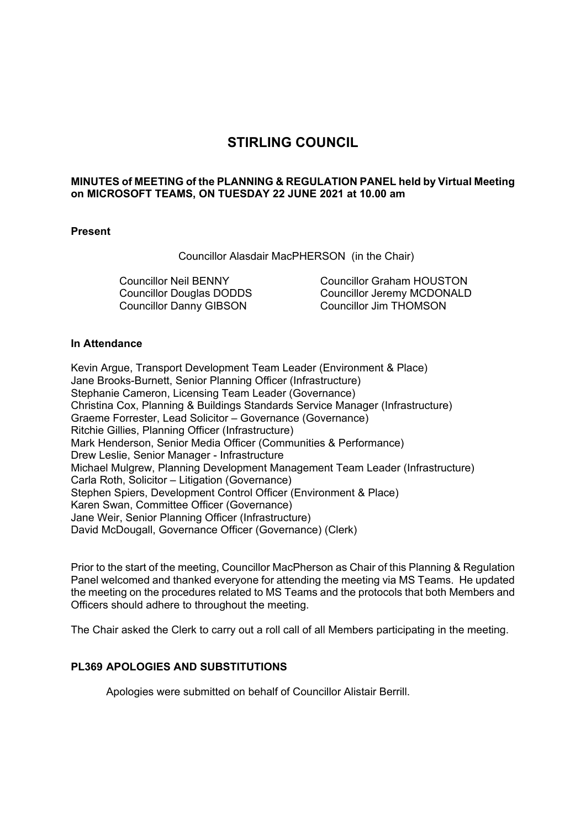# **STIRLING COUNCIL**

### **MINUTES of MEETING of the PLANNING & REGULATION PANEL held by Virtual Meeting on MICROSOFT TEAMS, ON TUESDAY 22 JUNE 2021 at 10.00 am**

### **Present**

Councillor Alasdair MacPHERSON (in the Chair)

Councillor Neil BENNY Councillor Douglas DODDS Councillor Danny GIBSON

Councillor Graham HOUSTON Councillor Jeremy MCDONALD Councillor Jim THOMSON

### **In Attendance**

Kevin Argue, Transport Development Team Leader (Environment & Place) Jane Brooks-Burnett, Senior Planning Officer (Infrastructure) Stephanie Cameron, Licensing Team Leader (Governance) Christina Cox, Planning & Buildings Standards Service Manager (Infrastructure) Graeme Forrester, Lead Solicitor – Governance (Governance) Ritchie Gillies, Planning Officer (Infrastructure) Mark Henderson, Senior Media Officer (Communities & Performance) Drew Leslie, Senior Manager - Infrastructure Michael Mulgrew, Planning Development Management Team Leader (Infrastructure) Carla Roth, Solicitor – Litigation (Governance) Stephen Spiers, Development Control Officer (Environment & Place) Karen Swan, Committee Officer (Governance) Jane Weir, Senior Planning Officer (Infrastructure) David McDougall, Governance Officer (Governance) (Clerk)

Prior to the start of the meeting, Councillor MacPherson as Chair of this Planning & Regulation Panel welcomed and thanked everyone for attending the meeting via MS Teams. He updated the meeting on the procedures related to MS Teams and the protocols that both Members and Officers should adhere to throughout the meeting.

The Chair asked the Clerk to carry out a roll call of all Members participating in the meeting.

# **PL369 APOLOGIES AND SUBSTITUTIONS**

Apologies were submitted on behalf of Councillor Alistair Berrill.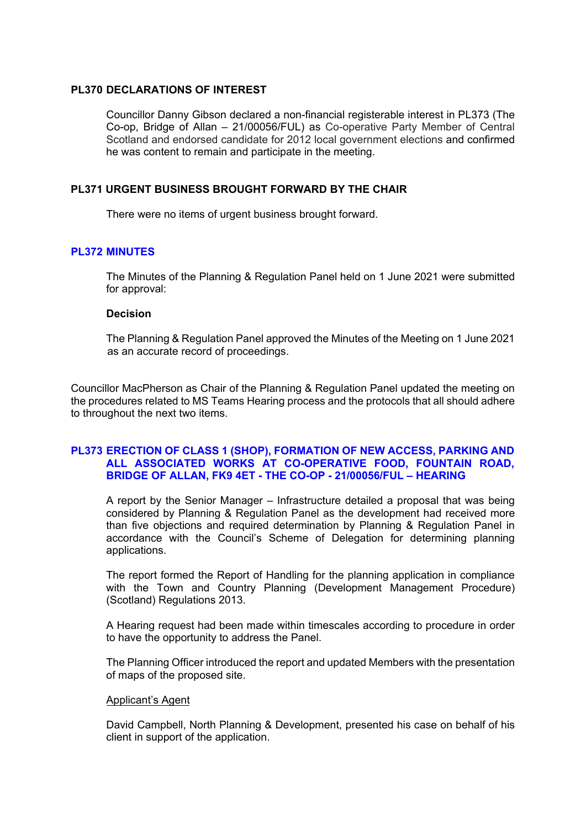## **PL370 DECLARATIONS OF INTEREST**

Councillor Danny Gibson declared a non-financial registerable interest in PL373 (The Co-op, Bridge of Allan – 21/00056/FUL) as Co-operative Party Member of Central Scotland and endorsed candidate for 2012 local government elections and confirmed he was content to remain and participate in the meeting.

## **PL371 URGENT BUSINESS BROUGHT FORWARD BY THE CHAIR**

There were no items of urgent business brought forward.

# **PL372 MINUTES**

The Minutes of the Planning & Regulation Panel held on 1 June 2021 were submitted for approval:

### **Decision**

The Planning & Regulation Panel approved the Minutes of the Meeting on 1 June 2021 as an accurate record of proceedings.

Councillor MacPherson as Chair of the Planning & Regulation Panel updated the meeting on the procedures related to MS Teams Hearing process and the protocols that all should adhere to throughout the next two items.

## **PL373 ERECTION OF CLASS 1 (SHOP), FORMATION OF NEW ACCESS, PARKING AND ALL ASSOCIATED WORKS AT CO-OPERATIVE FOOD, FOUNTAIN ROAD, BRIDGE OF ALLAN, FK9 4ET - THE CO-OP - 21/00056/FUL – HEARING**

A report by the Senior Manager – Infrastructure detailed a proposal that was being considered by Planning & Regulation Panel as the development had received more than five objections and required determination by Planning & Regulation Panel in accordance with the Council's Scheme of Delegation for determining planning applications.

The report formed the Report of Handling for the planning application in compliance with the Town and Country Planning (Development Management Procedure) (Scotland) Regulations 2013.

A Hearing request had been made within timescales according to procedure in order to have the opportunity to address the Panel.

The Planning Officer introduced the report and updated Members with the presentation of maps of the proposed site.

# Applicant's Agent

David Campbell, North Planning & Development, presented his case on behalf of his client in support of the application.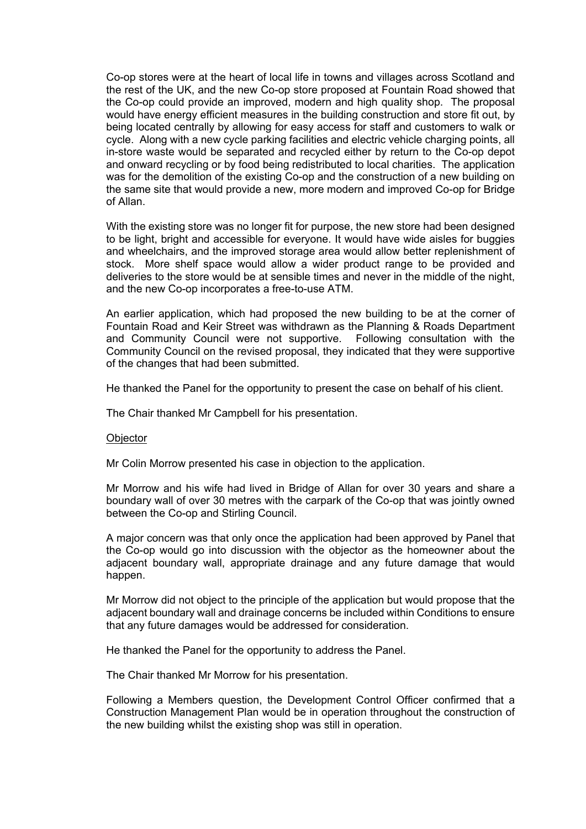Co-op stores were at the heart of local life in towns and villages across Scotland and the rest of the UK, and the new Co-op store proposed at Fountain Road showed that the Co-op could provide an improved, modern and high quality shop. The proposal would have energy efficient measures in the building construction and store fit out, by being located centrally by allowing for easy access for staff and customers to walk or cycle. Along with a new cycle parking facilities and electric vehicle charging points, all in-store waste would be separated and recycled either by return to the Co-op depot and onward recycling or by food being redistributed to local charities. The application was for the demolition of the existing Co-op and the construction of a new building on the same site that would provide a new, more modern and improved Co-op for Bridge of Allan.

With the existing store was no longer fit for purpose, the new store had been designed to be light, bright and accessible for everyone. It would have wide aisles for buggies and wheelchairs, and the improved storage area would allow better replenishment of stock. More shelf space would allow a wider product range to be provided and deliveries to the store would be at sensible times and never in the middle of the night, and the new Co-op incorporates a free-to-use ATM.

An earlier application, which had proposed the new building to be at the corner of Fountain Road and Keir Street was withdrawn as the Planning & Roads Department and Community Council were not supportive. Following consultation with the Community Council on the revised proposal, they indicated that they were supportive of the changes that had been submitted.

He thanked the Panel for the opportunity to present the case on behalf of his client.

The Chair thanked Mr Campbell for his presentation.

#### **Objector**

Mr Colin Morrow presented his case in objection to the application.

Mr Morrow and his wife had lived in Bridge of Allan for over 30 years and share a boundary wall of over 30 metres with the carpark of the Co-op that was jointly owned between the Co-op and Stirling Council.

A major concern was that only once the application had been approved by Panel that the Co-op would go into discussion with the objector as the homeowner about the adjacent boundary wall, appropriate drainage and any future damage that would happen.

Mr Morrow did not object to the principle of the application but would propose that the adjacent boundary wall and drainage concerns be included within Conditions to ensure that any future damages would be addressed for consideration.

He thanked the Panel for the opportunity to address the Panel.

The Chair thanked Mr Morrow for his presentation.

Following a Members question, the Development Control Officer confirmed that a Construction Management Plan would be in operation throughout the construction of the new building whilst the existing shop was still in operation.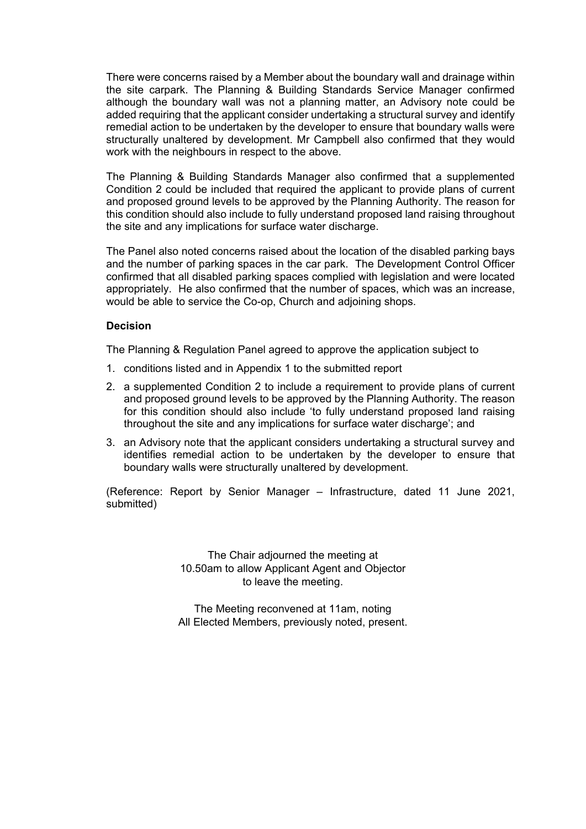There were concerns raised by a Member about the boundary wall and drainage within the site carpark. The Planning & Building Standards Service Manager confirmed although the boundary wall was not a planning matter, an Advisory note could be added requiring that the applicant consider undertaking a structural survey and identify remedial action to be undertaken by the developer to ensure that boundary walls were structurally unaltered by development. Mr Campbell also confirmed that they would work with the neighbours in respect to the above.

The Planning & Building Standards Manager also confirmed that a supplemented Condition 2 could be included that required the applicant to provide plans of current and proposed ground levels to be approved by the Planning Authority. The reason for this condition should also include to fully understand proposed land raising throughout the site and any implications for surface water discharge.

The Panel also noted concerns raised about the location of the disabled parking bays and the number of parking spaces in the car park. The Development Control Officer confirmed that all disabled parking spaces complied with legislation and were located appropriately. He also confirmed that the number of spaces, which was an increase, would be able to service the Co-op, Church and adjoining shops.

### **Decision**

The Planning & Regulation Panel agreed to approve the application subject to

- 1. conditions listed and in Appendix 1 to the submitted report
- 2. a supplemented Condition 2 to include a requirement to provide plans of current and proposed ground levels to be approved by the Planning Authority. The reason for this condition should also include 'to fully understand proposed land raising throughout the site and any implications for surface water discharge'; and
- 3. an Advisory note that the applicant considers undertaking a structural survey and identifies remedial action to be undertaken by the developer to ensure that boundary walls were structurally unaltered by development.

(Reference: Report by Senior Manager – Infrastructure, dated 11 June 2021, submitted)

> The Chair adjourned the meeting at 10.50am to allow Applicant Agent and Objector to leave the meeting.

> The Meeting reconvened at 11am, noting All Elected Members, previously noted, present.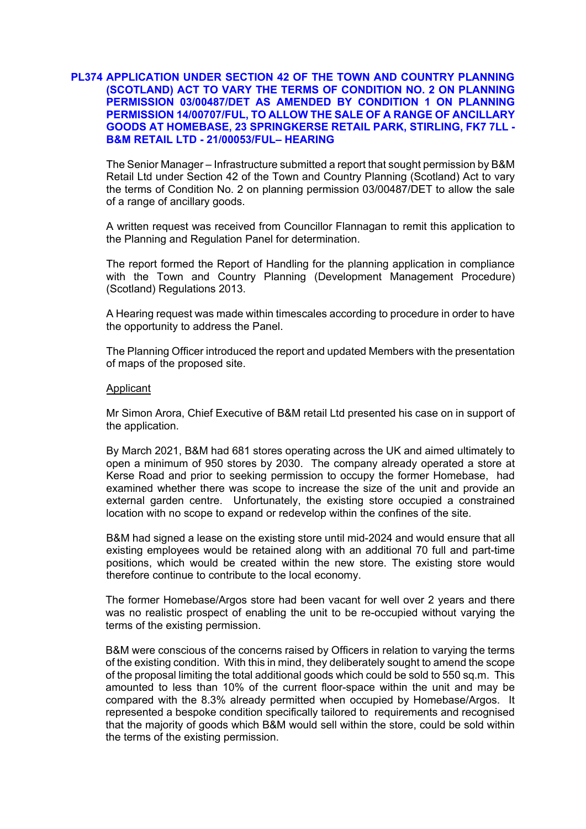#### **PL374 APPLICATION UNDER SECTION 42 OF THE TOWN AND COUNTRY PLANNING (SCOTLAND) ACT TO VARY THE TERMS OF CONDITION NO. 2 ON PLANNING PERMISSION 03/00487/DET AS AMENDED BY CONDITION 1 ON PLANNING PERMISSION 14/00707/FUL, TO ALLOW THE SALE OF A RANGE OF ANCILLARY GOODS AT HOMEBASE, 23 SPRINGKERSE RETAIL PARK, STIRLING, FK7 7LL - B&M RETAIL LTD - 21/00053/FUL– HEARING**

The Senior Manager – Infrastructure submitted a report that sought permission by B&M Retail Ltd under Section 42 of the Town and Country Planning (Scotland) Act to vary the terms of Condition No. 2 on planning permission 03/00487/DET to allow the sale of a range of ancillary goods.

A written request was received from Councillor Flannagan to remit this application to the Planning and Regulation Panel for determination.

The report formed the Report of Handling for the planning application in compliance with the Town and Country Planning (Development Management Procedure) (Scotland) Regulations 2013.

A Hearing request was made within timescales according to procedure in order to have the opportunity to address the Panel.

The Planning Officer introduced the report and updated Members with the presentation of maps of the proposed site.

#### Applicant

Mr Simon Arora, Chief Executive of B&M retail Ltd presented his case on in support of the application.

By March 2021, B&M had 681 stores operating across the UK and aimed ultimately to open a minimum of 950 stores by 2030. The company already operated a store at Kerse Road and prior to seeking permission to occupy the former Homebase, had examined whether there was scope to increase the size of the unit and provide an external garden centre. Unfortunately, the existing store occupied a constrained location with no scope to expand or redevelop within the confines of the site.

B&M had signed a lease on the existing store until mid-2024 and would ensure that all existing employees would be retained along with an additional 70 full and part-time positions, which would be created within the new store. The existing store would therefore continue to contribute to the local economy.

The former Homebase/Argos store had been vacant for well over 2 years and there was no realistic prospect of enabling the unit to be re-occupied without varying the terms of the existing permission.

B&M were conscious of the concerns raised by Officers in relation to varying the terms of the existing condition. With this in mind, they deliberately sought to amend the scope of the proposal limiting the total additional goods which could be sold to 550 sq.m. This amounted to less than 10% of the current floor-space within the unit and may be compared with the 8.3% already permitted when occupied by Homebase/Argos. It represented a bespoke condition specifically tailored to requirements and recognised that the majority of goods which B&M would sell within the store, could be sold within the terms of the existing permission.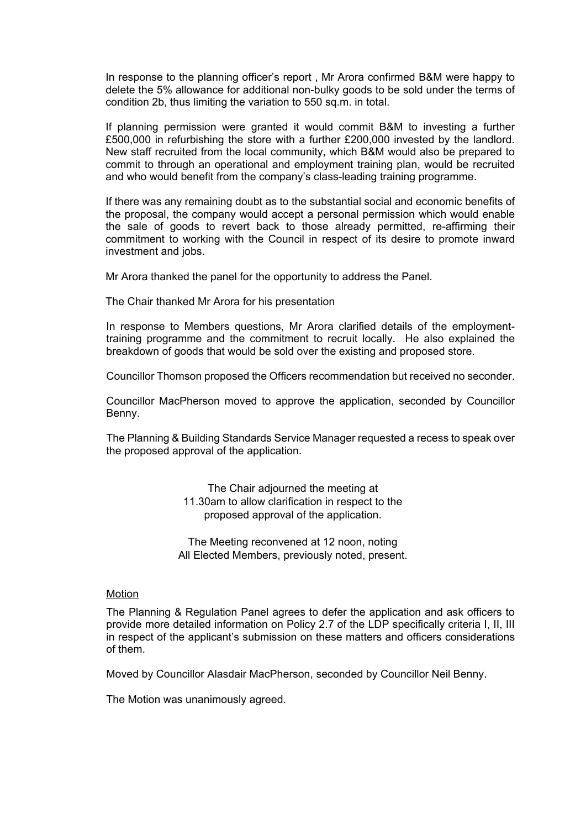In response to the planning officer's report , Mr Arora confirmed B&M were happy to delete the 5% allowance for additional non-bulky goods to be sold under the terms of condition 2b, thus limiting the variation to 550 sq.m. in total.

If planning permission were granted it would commit B&M to investing a further £500,000 in refurbishing the store with a further £200,000 invested by the landlord. New staff recruited from the local community, which B&M would also be prepared to commit to through an operational and employment training plan, would be recruited and who would benefit from the company's class-leading training programme.

If there was any remaining doubt as to the substantial social and economic benefits of the proposal, the company would accept a personal permission which would enable the sale of goods to revert back to those already permitted, re-affirming their commitment to working with the Council in respect of its desire to promote inward investment and jobs.

Mr Arora thanked the panel for the opportunity to address the Panel.

The Chair thanked Mr Arora for his presentation

In response to Members questions, Mr Arora clarified details of the employmenttraining programme and the commitment to recruit locally. He also explained the breakdown of goods that would be sold over the existing and proposed store.

Councillor Thomson proposed the Officers recommendation but received no seconder.

Councillor MacPherson moved to approve the application, seconded by Councillor Benny.

The Planning & Building Standards Service Manager requested a recess to speak over the proposed approval of the application.

> The Chair adjourned the meeting at 11.30am to allow clarification in respect to the proposed approval of the application.

The Meeting reconvened at 12 noon, noting All Elected Members, previously noted, present.

#### Motion

The Planning & Regulation Panel agrees to defer the application and ask officers to provide more detailed information on Policy 2.7 of the LDP specifically criteria I, II, III in respect of the applicant's submission on these matters and officers considerations of them.

Moved by Councillor Alasdair MacPherson, seconded by Councillor Neil Benny.

The Motion was unanimously agreed.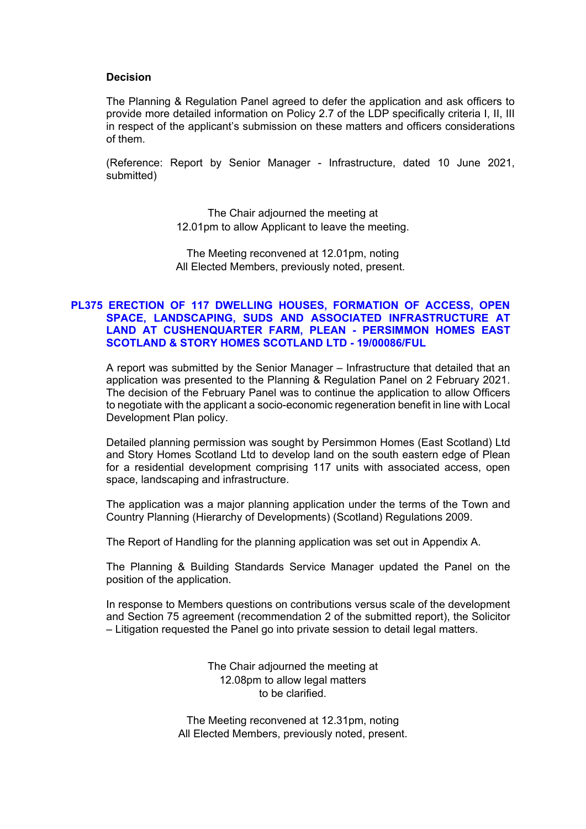#### **Decision**

The Planning & Regulation Panel agreed to defer the application and ask officers to provide more detailed information on Policy 2.7 of the LDP specifically criteria I, II, III in respect of the applicant's submission on these matters and officers considerations of them.

(Reference: Report by Senior Manager - Infrastructure, dated 10 June 2021, submitted)

> The Chair adjourned the meeting at 12.01pm to allow Applicant to leave the meeting.

The Meeting reconvened at 12.01pm, noting All Elected Members, previously noted, present.

#### **PL375 ERECTION OF 117 DWELLING HOUSES, FORMATION OF ACCESS, OPEN SPACE, LANDSCAPING, SUDS AND ASSOCIATED INFRASTRUCTURE AT LAND AT CUSHENQUARTER FARM, PLEAN - PERSIMMON HOMES EAST SCOTLAND & STORY HOMES SCOTLAND LTD - 19/00086/FUL**

A report was submitted by the Senior Manager – Infrastructure that detailed that an application was presented to the Planning & Regulation Panel on 2 February 2021. The decision of the February Panel was to continue the application to allow Officers to negotiate with the applicant a socio-economic regeneration benefit in line with Local Development Plan policy.

Detailed planning permission was sought by Persimmon Homes (East Scotland) Ltd and Story Homes Scotland Ltd to develop land on the south eastern edge of Plean for a residential development comprising 117 units with associated access, open space, landscaping and infrastructure.

The application was a major planning application under the terms of the Town and Country Planning (Hierarchy of Developments) (Scotland) Regulations 2009.

The Report of Handling for the planning application was set out in Appendix A.

The Planning & Building Standards Service Manager updated the Panel on the position of the application.

In response to Members questions on contributions versus scale of the development and Section 75 agreement (recommendation 2 of the submitted report), the Solicitor – Litigation requested the Panel go into private session to detail legal matters.

> The Chair adjourned the meeting at 12.08pm to allow legal matters to be clarified.

The Meeting reconvened at 12.31pm, noting All Elected Members, previously noted, present.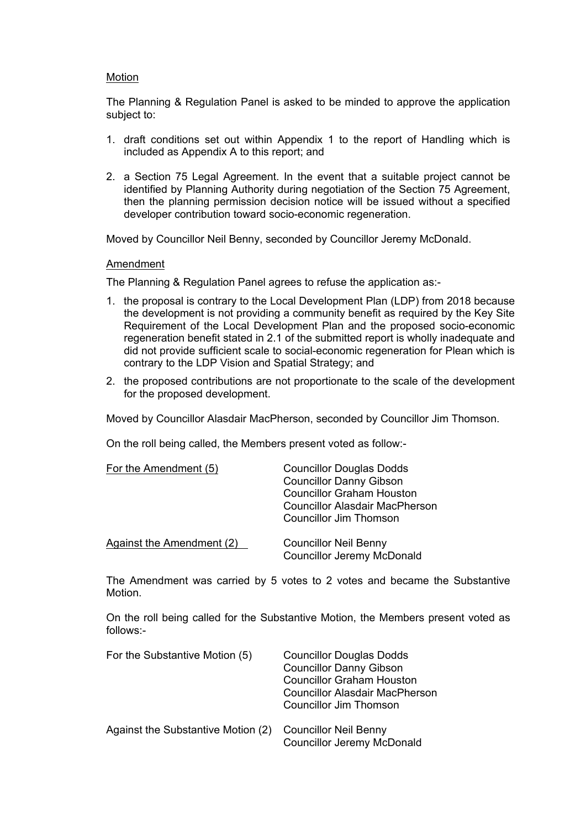#### Motion

The Planning & Regulation Panel is asked to be minded to approve the application subject to:

- 1. draft conditions set out within Appendix 1 to the report of Handling which is included as Appendix A to this report; and
- 2. a Section 75 Legal Agreement. In the event that a suitable project cannot be identified by Planning Authority during negotiation of the Section 75 Agreement, then the planning permission decision notice will be issued without a specified developer contribution toward socio-economic regeneration.

Moved by Councillor Neil Benny, seconded by Councillor Jeremy McDonald.

### Amendment

The Planning & Regulation Panel agrees to refuse the application as:-

- 1. the proposal is contrary to the Local Development Plan (LDP) from 2018 because the development is not providing a community benefit as required by the Key Site Requirement of the Local Development Plan and the proposed socio-economic regeneration benefit stated in 2.1 of the submitted report is wholly inadequate and did not provide sufficient scale to social-economic regeneration for Plean which is contrary to the LDP Vision and Spatial Strategy; and
- 2. the proposed contributions are not proportionate to the scale of the development for the proposed development.

Moved by Councillor Alasdair MacPherson, seconded by Councillor Jim Thomson.

On the roll being called, the Members present voted as follow:-

| For the Amendment (5)            | <b>Councillor Douglas Dodds</b><br><b>Councillor Danny Gibson</b><br><b>Councillor Graham Houston</b><br>Councillor Alasdair MacPherson<br><b>Councillor Jim Thomson</b> |
|----------------------------------|--------------------------------------------------------------------------------------------------------------------------------------------------------------------------|
| <b>Against the Amendment (2)</b> | <b>Councillor Neil Benny</b><br><b>Councillor Jeremy McDonald</b>                                                                                                        |

The Amendment was carried by 5 votes to 2 votes and became the Substantive **Motion** 

On the roll being called for the Substantive Motion, the Members present voted as follows:-

| For the Substantive Motion (5)     | <b>Councillor Douglas Dodds</b><br><b>Councillor Danny Gibson</b><br><b>Councillor Graham Houston</b><br><b>Councillor Alasdair MacPherson</b><br><b>Councillor Jim Thomson</b> |
|------------------------------------|---------------------------------------------------------------------------------------------------------------------------------------------------------------------------------|
| Against the Substantive Motion (2) | <b>Councillor Neil Benny</b><br><b>Councillor Jeremy McDonald</b>                                                                                                               |